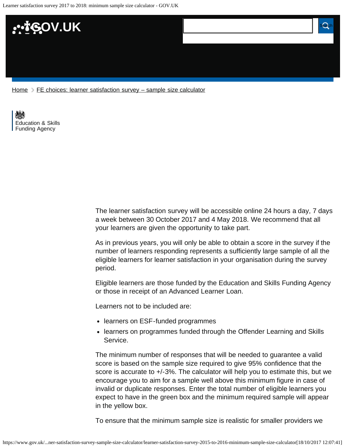Learner satisfaction survey 2017 to 2018: minimum sample size calculator - GOV.UK



[Home](https://www.gov.uk/)  $\triangleright$  [FE choices: learner satisfaction survey – sample size calculator](https://www.gov.uk/government/publications/fe-choices-learner-satisfaction-survey-sample-size-calculator)

[Education & Skills](https://www.gov.uk/government/organisations/education-and-skills-funding-agency)  [Funding Agency](https://www.gov.uk/government/organisations/education-and-skills-funding-agency)

> The learner satisfaction survey will be accessible online 24 hours a day, 7 days a week between 30 October 2017 and 4 May 2018. We recommend that all your learners are given the opportunity to take part.

As in previous years, you will only be able to obtain a score in the survey if the number of learners responding represents a sufficiently large sample of all the eligible learners for learner satisfaction in your organisation during the survey period.

Eligible learners are those funded by the Education and Skills Funding Agency or those in receipt of an Advanced Learner Loan.

Learners not to be included are:

- learners on ESF-funded programmes
- learners on programmes funded through the Offender Learning and Skills Service.

The minimum number of responses that will be needed to guarantee a valid score is based on the sample size required to give 95% confidence that the score is accurate to  $+/-3\%$ . The calculator will help you to estimate this, but we encourage you to aim for a sample well above this minimum figure in case of invalid or duplicate responses. Enter the total number of eligible learners you expect to have in the green box and the minimum required sample will appear in the yellow box.

To ensure that the minimum sample size is realistic for smaller providers we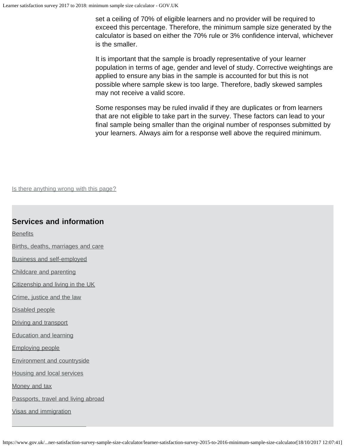set a ceiling of 70% of eligible learners and no provider will be required to exceed this percentage. Therefore, the minimum sample size generated by the calculator is based on either the 70% rule or 3% confidence interval, whichever is the smaller.

It is important that the sample is broadly representative of your learner population in terms of age, gender and level of study. Corrective weightings are applied to ensure any bias in the sample is accounted for but this is not possible where sample skew is too large. Therefore, badly skewed samples may not receive a valid score.

Some responses may be ruled invalid if they are duplicates or from learners that are not eligible to take part in the survey. These factors can lead to your final sample being smaller than the original number of responses submitted by your learners. Always aim for a response well above the required minimum.

Is there anything wrong with this page?

## **Services and information**

**[Benefits](https://www.gov.uk/browse/benefits)** 

[Births, deaths, marriages and care](https://www.gov.uk/browse/births-deaths-marriages)

[Business and self-employed](https://www.gov.uk/browse/business)

[Childcare and parenting](https://www.gov.uk/browse/childcare-parenting)

[Citizenship and living in the UK](https://www.gov.uk/browse/citizenship)

[Crime, justice and the law](https://www.gov.uk/browse/justice)

[Disabled people](https://www.gov.uk/browse/disabilities)

[Driving and transport](https://www.gov.uk/browse/driving)

[Education and learning](https://www.gov.uk/browse/education)

[Employing people](https://www.gov.uk/browse/employing-people)

[Environment and countryside](https://www.gov.uk/browse/environment-countryside)

[Housing and local services](https://www.gov.uk/browse/housing-local-services)

[Money and tax](https://www.gov.uk/browse/tax)

[Passports, travel and living abroad](https://www.gov.uk/browse/abroad)

[Visas and immigration](https://www.gov.uk/browse/visas-immigration)